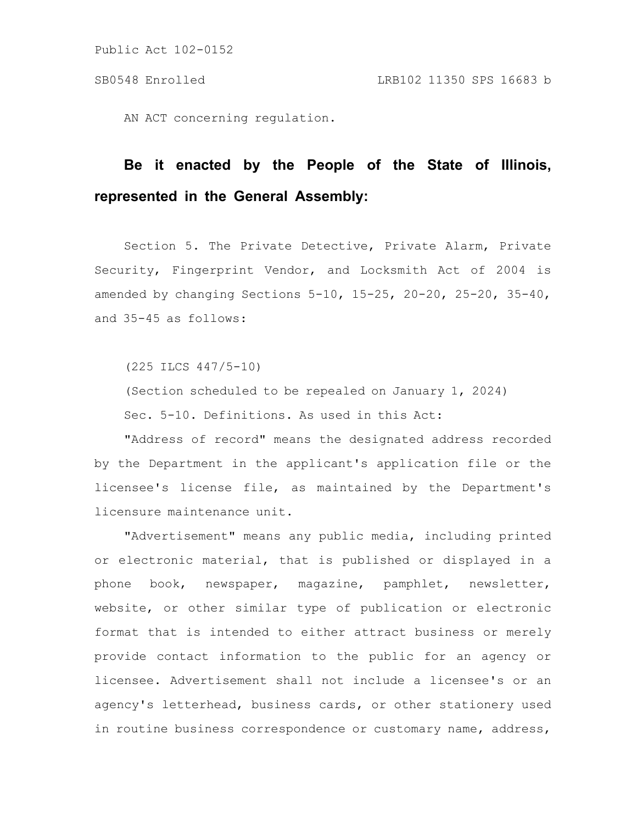AN ACT concerning regulation.

# **Be it enacted by the People of the State of Illinois, represented in the General Assembly:**

Section 5. The Private Detective, Private Alarm, Private Security, Fingerprint Vendor, and Locksmith Act of 2004 is amended by changing Sections 5-10, 15-25, 20-20, 25-20, 35-40, and 35-45 as follows:

(225 ILCS 447/5-10)

(Section scheduled to be repealed on January 1, 2024) Sec. 5-10. Definitions. As used in this Act:

"Address of record" means the designated address recorded by the Department in the applicant's application file or the licensee's license file, as maintained by the Department's licensure maintenance unit.

"Advertisement" means any public media, including printed or electronic material, that is published or displayed in a phone book, newspaper, magazine, pamphlet, newsletter, website, or other similar type of publication or electronic format that is intended to either attract business or merely provide contact information to the public for an agency or licensee. Advertisement shall not include a licensee's or an agency's letterhead, business cards, or other stationery used in routine business correspondence or customary name, address,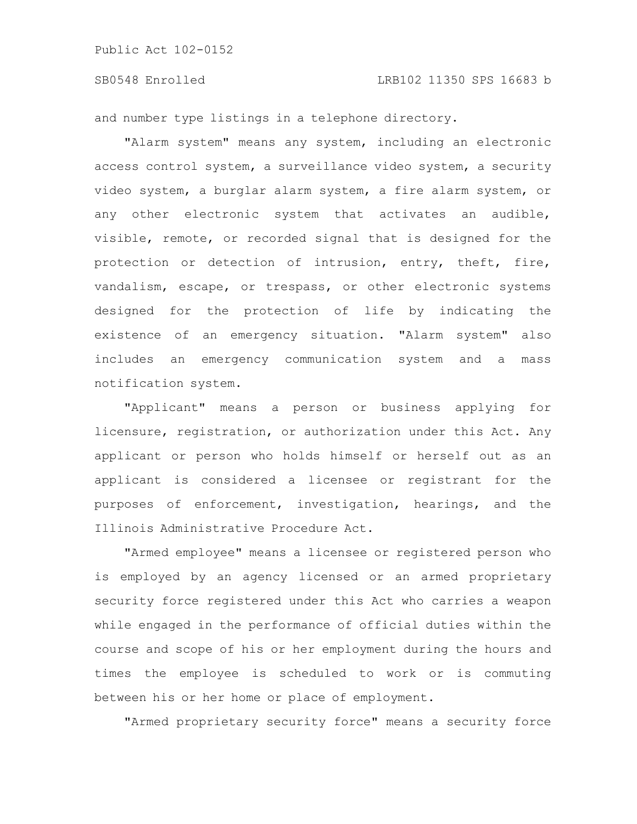and number type listings in a telephone directory.

"Alarm system" means any system, including an electronic access control system, a surveillance video system, a security video system, a burglar alarm system, a fire alarm system, or any other electronic system that activates an audible, visible, remote, or recorded signal that is designed for the protection or detection of intrusion, entry, theft, fire, vandalism, escape, or trespass, or other electronic systems designed for the protection of life by indicating the existence of an emergency situation. "Alarm system" also includes an emergency communication system and a mass notification system.

"Applicant" means a person or business applying for licensure, registration, or authorization under this Act. Any applicant or person who holds himself or herself out as an applicant is considered a licensee or registrant for the purposes of enforcement, investigation, hearings, and the Illinois Administrative Procedure Act.

"Armed employee" means a licensee or registered person who is employed by an agency licensed or an armed proprietary security force registered under this Act who carries a weapon while engaged in the performance of official duties within the course and scope of his or her employment during the hours and times the employee is scheduled to work or is commuting between his or her home or place of employment.

"Armed proprietary security force" means a security force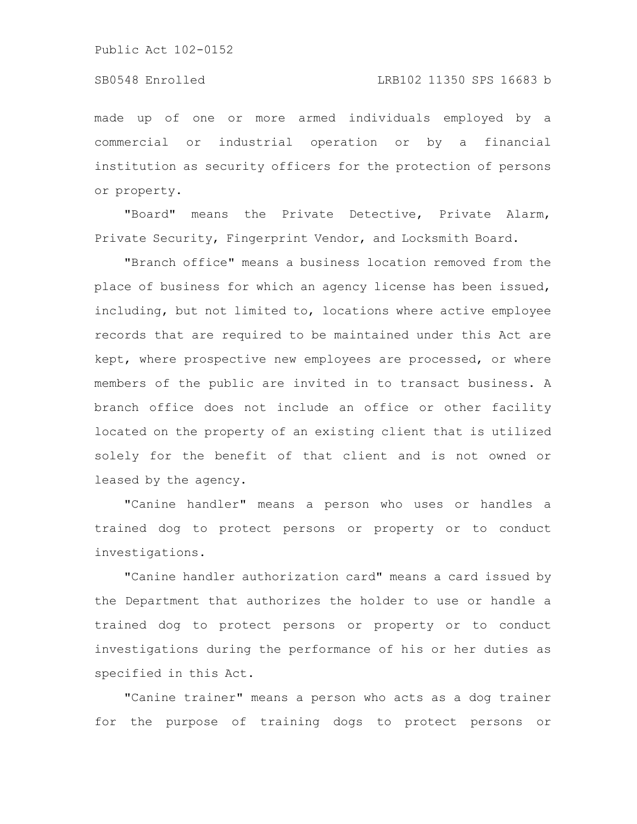made up of one or more armed individuals employed by a commercial or industrial operation or by a financial institution as security officers for the protection of persons or property.

"Board" means the Private Detective, Private Alarm, Private Security, Fingerprint Vendor, and Locksmith Board.

"Branch office" means a business location removed from the place of business for which an agency license has been issued, including, but not limited to, locations where active employee records that are required to be maintained under this Act are kept, where prospective new employees are processed, or where members of the public are invited in to transact business. A branch office does not include an office or other facility located on the property of an existing client that is utilized solely for the benefit of that client and is not owned or leased by the agency.

"Canine handler" means a person who uses or handles a trained dog to protect persons or property or to conduct investigations.

"Canine handler authorization card" means a card issued by the Department that authorizes the holder to use or handle a trained dog to protect persons or property or to conduct investigations during the performance of his or her duties as specified in this Act.

"Canine trainer" means a person who acts as a dog trainer for the purpose of training dogs to protect persons or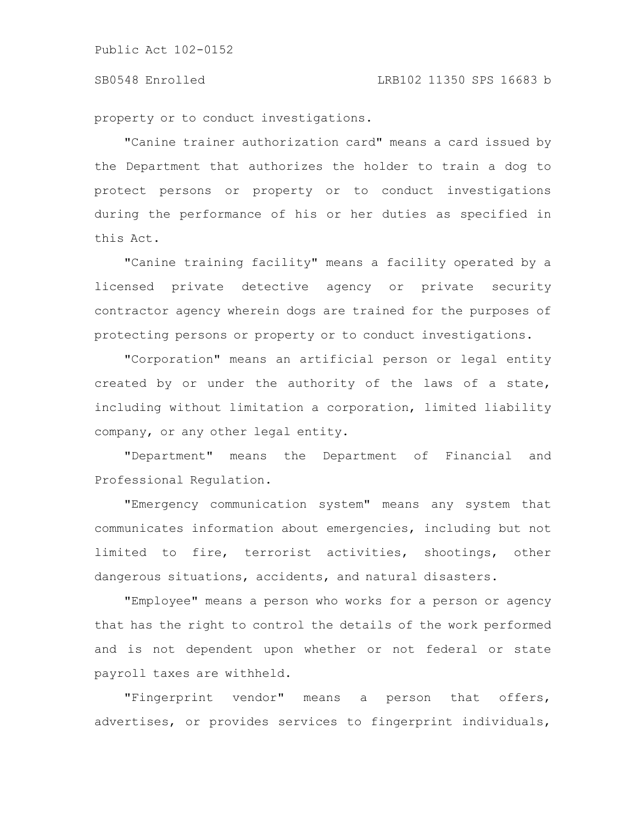### SB0548 Enrolled LRB102 11350 SPS 16683 b

property or to conduct investigations.

"Canine trainer authorization card" means a card issued by the Department that authorizes the holder to train a dog to protect persons or property or to conduct investigations during the performance of his or her duties as specified in this Act.

"Canine training facility" means a facility operated by a licensed private detective agency or private security contractor agency wherein dogs are trained for the purposes of protecting persons or property or to conduct investigations.

"Corporation" means an artificial person or legal entity created by or under the authority of the laws of a state, including without limitation a corporation, limited liability company, or any other legal entity.

"Department" means the Department of Financial and Professional Regulation.

"Emergency communication system" means any system that communicates information about emergencies, including but not limited to fire, terrorist activities, shootings, other dangerous situations, accidents, and natural disasters.

"Employee" means a person who works for a person or agency that has the right to control the details of the work performed and is not dependent upon whether or not federal or state payroll taxes are withheld.

"Fingerprint vendor" means a person that offers, advertises, or provides services to fingerprint individuals,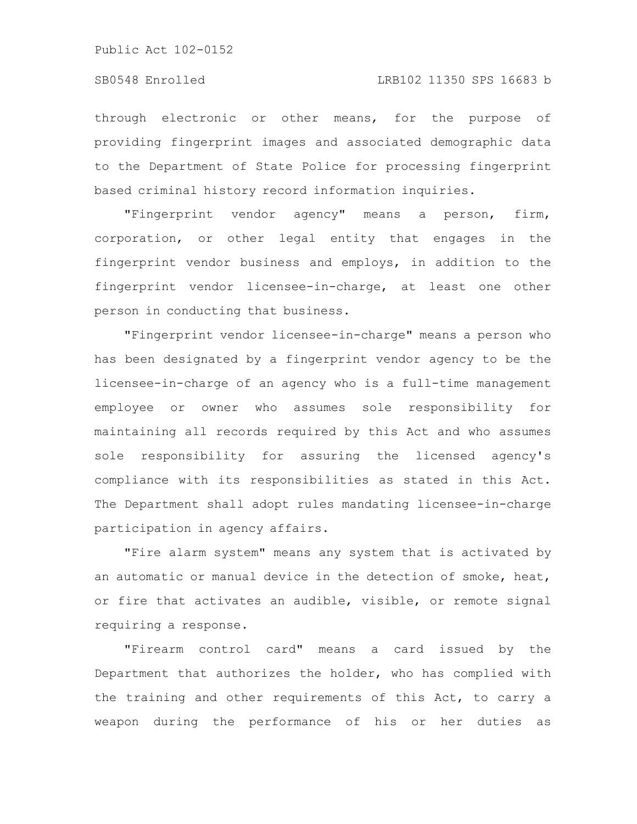through electronic or other means, for the purpose of providing fingerprint images and associated demographic data to the Department of State Police for processing fingerprint based criminal history record information inquiries.

"Fingerprint vendor agency" means a person, firm, corporation, or other legal entity that engages in the fingerprint vendor business and employs, in addition to the fingerprint vendor licensee-in-charge, at least one other person in conducting that business.

"Fingerprint vendor licensee-in-charge" means a person who has been designated by a fingerprint vendor agency to be the licensee-in-charge of an agency who is a full-time management employee or owner who assumes sole responsibility for maintaining all records required by this Act and who assumes sole responsibility for assuring the licensed agency's compliance with its responsibilities as stated in this Act. The Department shall adopt rules mandating licensee-in-charge participation in agency affairs.

"Fire alarm system" means any system that is activated by an automatic or manual device in the detection of smoke, heat, or fire that activates an audible, visible, or remote signal requiring a response.

"Firearm control card" means a card issued by the Department that authorizes the holder, who has complied with the training and other requirements of this Act, to carry a weapon during the performance of his or her duties as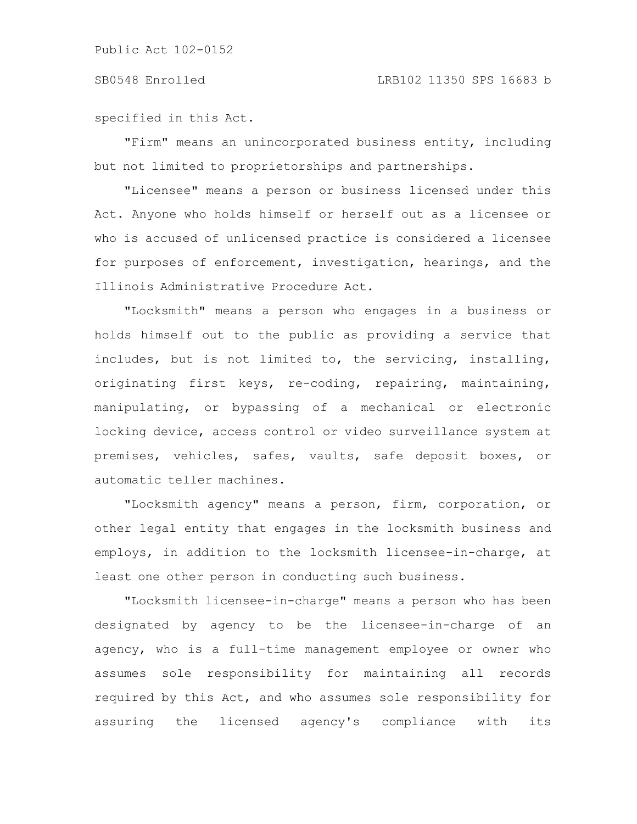specified in this Act.

"Firm" means an unincorporated business entity, including but not limited to proprietorships and partnerships.

"Licensee" means a person or business licensed under this Act. Anyone who holds himself or herself out as a licensee or who is accused of unlicensed practice is considered a licensee for purposes of enforcement, investigation, hearings, and the Illinois Administrative Procedure Act.

"Locksmith" means a person who engages in a business or holds himself out to the public as providing a service that includes, but is not limited to, the servicing, installing, originating first keys, re-coding, repairing, maintaining, manipulating, or bypassing of a mechanical or electronic locking device, access control or video surveillance system at premises, vehicles, safes, vaults, safe deposit boxes, or automatic teller machines.

"Locksmith agency" means a person, firm, corporation, or other legal entity that engages in the locksmith business and employs, in addition to the locksmith licensee-in-charge, at least one other person in conducting such business.

"Locksmith licensee-in-charge" means a person who has been designated by agency to be the licensee-in-charge of an agency, who is a full-time management employee or owner who assumes sole responsibility for maintaining all records required by this Act, and who assumes sole responsibility for assuring the licensed agency's compliance with its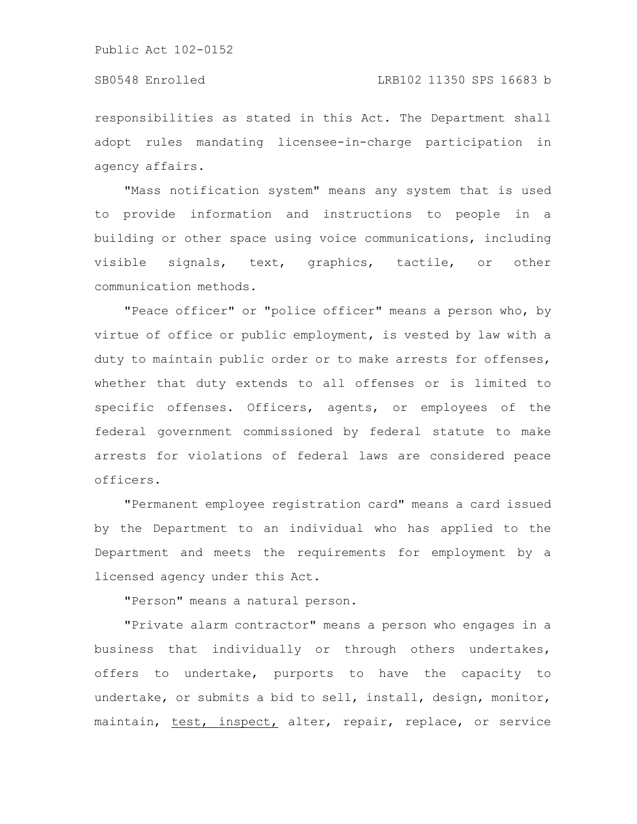### SB0548 Enrolled LRB102 11350 SPS 16683 b

responsibilities as stated in this Act. The Department shall adopt rules mandating licensee-in-charge participation in agency affairs.

"Mass notification system" means any system that is used to provide information and instructions to people in a building or other space using voice communications, including visible signals, text, graphics, tactile, or other communication methods.

"Peace officer" or "police officer" means a person who, by virtue of office or public employment, is vested by law with a duty to maintain public order or to make arrests for offenses, whether that duty extends to all offenses or is limited to specific offenses. Officers, agents, or employees of the federal government commissioned by federal statute to make arrests for violations of federal laws are considered peace officers.

"Permanent employee registration card" means a card issued by the Department to an individual who has applied to the Department and meets the requirements for employment by a licensed agency under this Act.

"Person" means a natural person.

"Private alarm contractor" means a person who engages in a business that individually or through others undertakes, offers to undertake, purports to have the capacity to undertake, or submits a bid to sell, install, design, monitor, maintain, test, inspect, alter, repair, replace, or service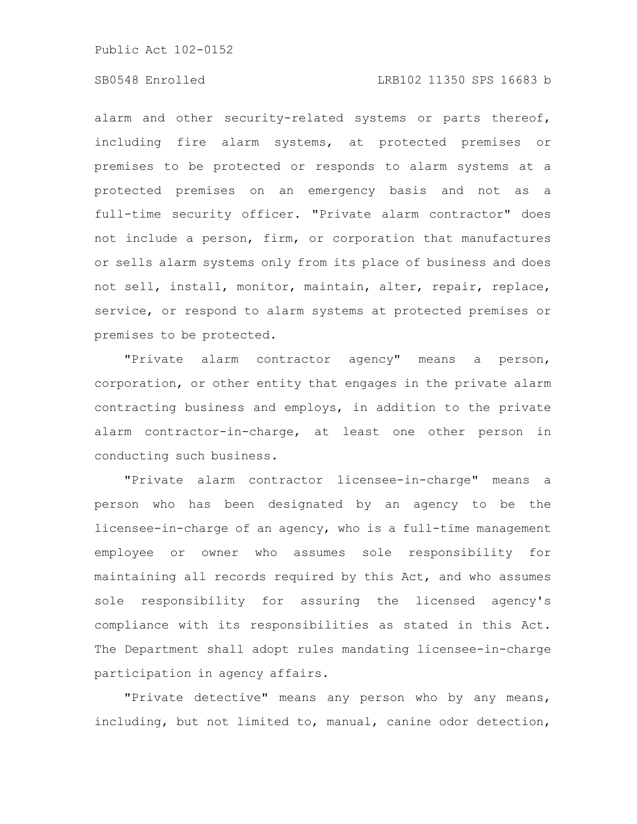# SB0548 Enrolled LRB102 11350 SPS 16683 b

alarm and other security-related systems or parts thereof, including fire alarm systems, at protected premises or premises to be protected or responds to alarm systems at a protected premises on an emergency basis and not as a full-time security officer. "Private alarm contractor" does not include a person, firm, or corporation that manufactures or sells alarm systems only from its place of business and does not sell, install, monitor, maintain, alter, repair, replace, service, or respond to alarm systems at protected premises or premises to be protected.

"Private alarm contractor agency" means a person, corporation, or other entity that engages in the private alarm contracting business and employs, in addition to the private alarm contractor-in-charge, at least one other person in conducting such business.

"Private alarm contractor licensee-in-charge" means a person who has been designated by an agency to be the licensee-in-charge of an agency, who is a full-time management employee or owner who assumes sole responsibility for maintaining all records required by this Act, and who assumes sole responsibility for assuring the licensed agency's compliance with its responsibilities as stated in this Act. The Department shall adopt rules mandating licensee-in-charge participation in agency affairs.

"Private detective" means any person who by any means, including, but not limited to, manual, canine odor detection,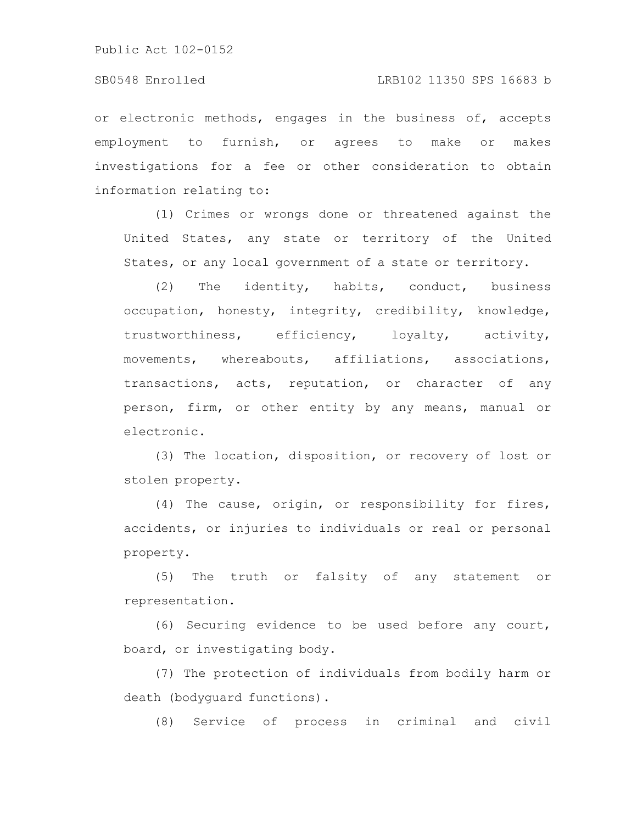# SB0548 Enrolled LRB102 11350 SPS 16683 b

or electronic methods, engages in the business of, accepts employment to furnish, or agrees to make or makes investigations for a fee or other consideration to obtain information relating to:

(1) Crimes or wrongs done or threatened against the United States, any state or territory of the United States, or any local government of a state or territory.

(2) The identity, habits, conduct, business occupation, honesty, integrity, credibility, knowledge, trustworthiness, efficiency, loyalty, activity, movements, whereabouts, affiliations, associations, transactions, acts, reputation, or character of any person, firm, or other entity by any means, manual or electronic.

(3) The location, disposition, or recovery of lost or stolen property.

(4) The cause, origin, or responsibility for fires, accidents, or injuries to individuals or real or personal property.

(5) The truth or falsity of any statement or representation.

(6) Securing evidence to be used before any court, board, or investigating body.

(7) The protection of individuals from bodily harm or death (bodyguard functions).

(8) Service of process in criminal and civil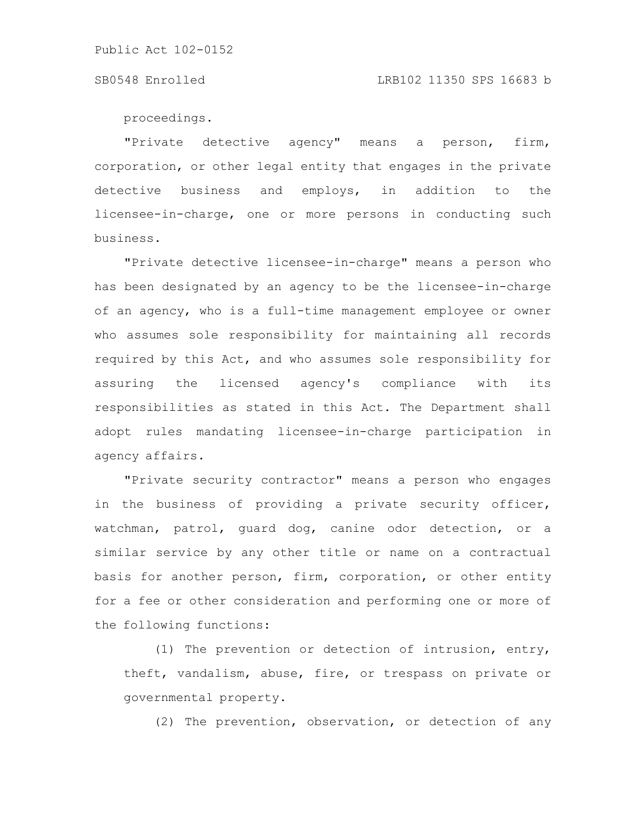### SB0548 Enrolled LRB102 11350 SPS 16683 b

proceedings.

"Private detective agency" means a person, firm, corporation, or other legal entity that engages in the private detective business and employs, in addition to the licensee-in-charge, one or more persons in conducting such business.

"Private detective licensee-in-charge" means a person who has been designated by an agency to be the licensee-in-charge of an agency, who is a full-time management employee or owner who assumes sole responsibility for maintaining all records required by this Act, and who assumes sole responsibility for assuring the licensed agency's compliance with its responsibilities as stated in this Act. The Department shall adopt rules mandating licensee-in-charge participation in agency affairs.

"Private security contractor" means a person who engages in the business of providing a private security officer, watchman, patrol, guard dog, canine odor detection, or a similar service by any other title or name on a contractual basis for another person, firm, corporation, or other entity for a fee or other consideration and performing one or more of the following functions:

(1) The prevention or detection of intrusion, entry, theft, vandalism, abuse, fire, or trespass on private or governmental property.

(2) The prevention, observation, or detection of any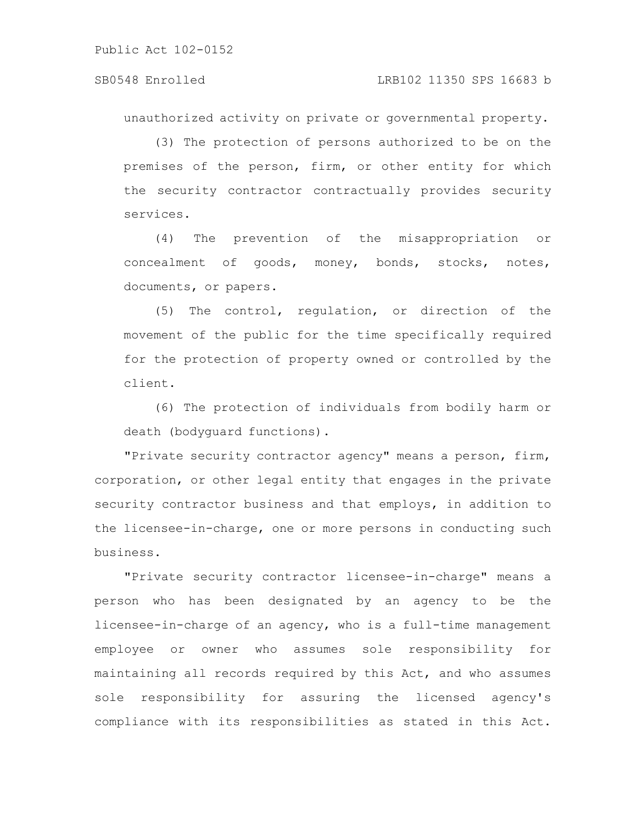unauthorized activity on private or governmental property.

(3) The protection of persons authorized to be on the premises of the person, firm, or other entity for which the security contractor contractually provides security services.

(4) The prevention of the misappropriation or concealment of goods, money, bonds, stocks, notes, documents, or papers.

(5) The control, regulation, or direction of the movement of the public for the time specifically required for the protection of property owned or controlled by the client.

(6) The protection of individuals from bodily harm or death (bodyguard functions).

"Private security contractor agency" means a person, firm, corporation, or other legal entity that engages in the private security contractor business and that employs, in addition to the licensee-in-charge, one or more persons in conducting such business.

"Private security contractor licensee-in-charge" means a person who has been designated by an agency to be the licensee-in-charge of an agency, who is a full-time management employee or owner who assumes sole responsibility for maintaining all records required by this Act, and who assumes sole responsibility for assuring the licensed agency's compliance with its responsibilities as stated in this Act.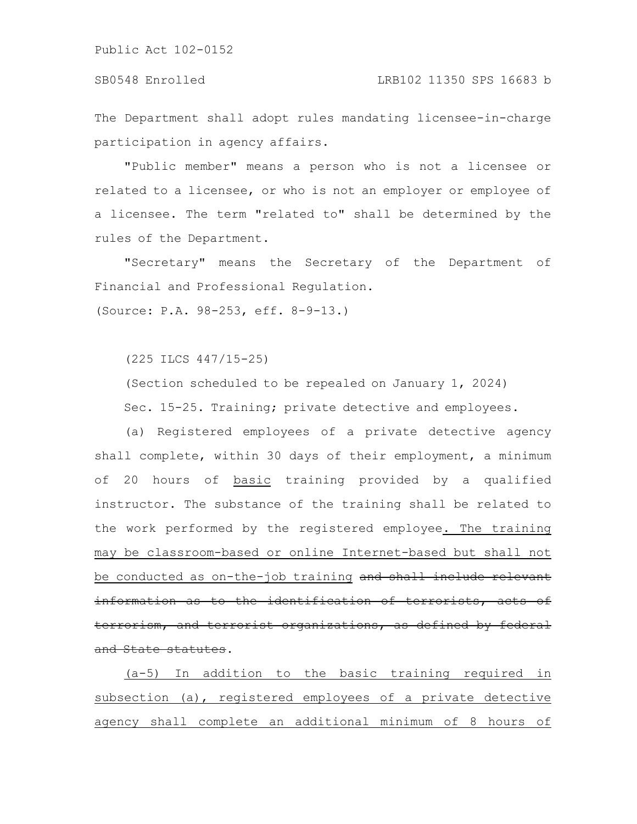The Department shall adopt rules mandating licensee-in-charge participation in agency affairs.

"Public member" means a person who is not a licensee or related to a licensee, or who is not an employer or employee of a licensee. The term "related to" shall be determined by the rules of the Department.

"Secretary" means the Secretary of the Department of Financial and Professional Regulation.

(Source: P.A. 98-253, eff. 8-9-13.)

(225 ILCS 447/15-25)

(Section scheduled to be repealed on January 1, 2024) Sec. 15-25. Training; private detective and employees.

(a) Registered employees of a private detective agency shall complete, within 30 days of their employment, a minimum of 20 hours of basic training provided by a qualified instructor. The substance of the training shall be related to the work performed by the registered employee. The training may be classroom-based or online Internet-based but shall not be conducted as on-the-job training and shall include relevant information as to the identification of terrorists, terrorism, and terrorist organizations, as defined by federal and State statutes.

(a-5) In addition to the basic training required in subsection (a), registered employees of a private detective agency shall complete an additional minimum of 8 hours of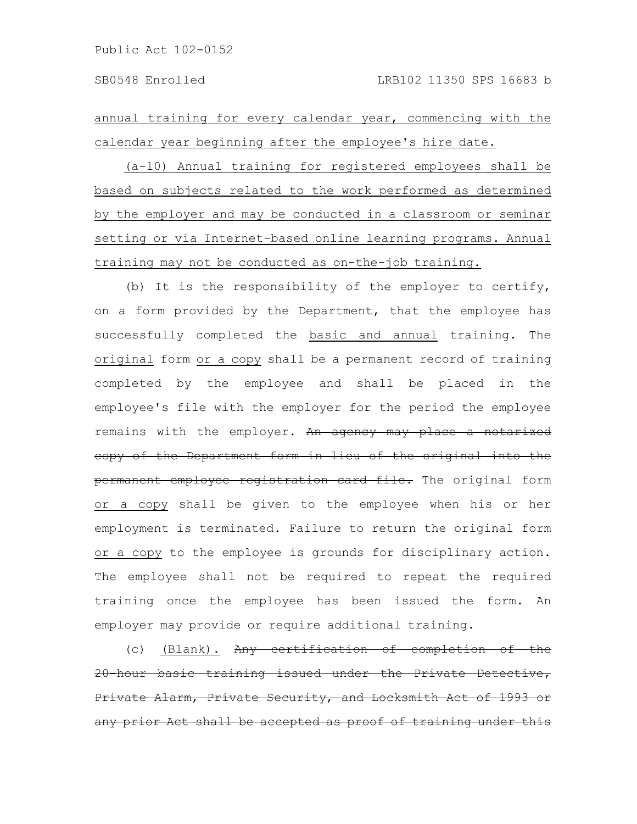annual training for every calendar year, commencing with the calendar year beginning after the employee's hire date.

(a-10) Annual training for registered employees shall be based on subjects related to the work performed as determined by the employer and may be conducted in a classroom or seminar setting or via Internet-based online learning programs. Annual training may not be conducted as on-the-job training.

(b) It is the responsibility of the employer to certify, on a form provided by the Department, that the employee has successfully completed the basic and annual training. The original form or a copy shall be a permanent record of training completed by the employee and shall be placed in the employee's file with the employer for the period the employee remains with the employer. An agency may place a notarized copy of the Department form in lieu of the original into the permanent employee registration card file. The original form or a copy shall be given to the employee when his or her employment is terminated. Failure to return the original form or a copy to the employee is grounds for disciplinary action. The employee shall not be required to repeat the required training once the employee has been issued the form. An employer may provide or require additional training.

(c) (Blank). Any certification of completion of 20-hour basic training issued under the Private Detective, Private Alarm, Private Security, and Locksmith Act of 1993 any prior Act shall be accepted as proof of training under this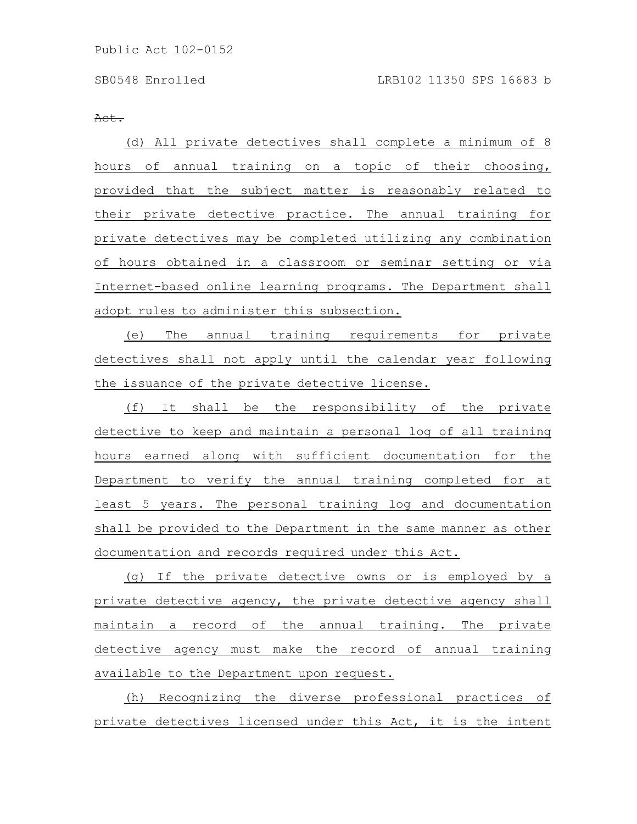Act.

(d) All private detectives shall complete a minimum of 8 hours of annual training on a topic of their choosing, provided that the subject matter is reasonably related to their private detective practice. The annual training for private detectives may be completed utilizing any combination of hours obtained in a classroom or seminar setting or via Internet-based online learning programs. The Department shall adopt rules to administer this subsection.

(e) The annual training requirements for private detectives shall not apply until the calendar year following the issuance of the private detective license.

(f) It shall be the responsibility of the private detective to keep and maintain a personal log of all training hours earned along with sufficient documentation for the Department to verify the annual training completed for at least 5 years. The personal training log and documentation shall be provided to the Department in the same manner as other documentation and records required under this Act.

(g) If the private detective owns or is employed by a private detective agency, the private detective agency shall maintain a record of the annual training. The private detective agency must make the record of annual training available to the Department upon request.

(h) Recognizing the diverse professional practices of private detectives licensed under this Act, it is the intent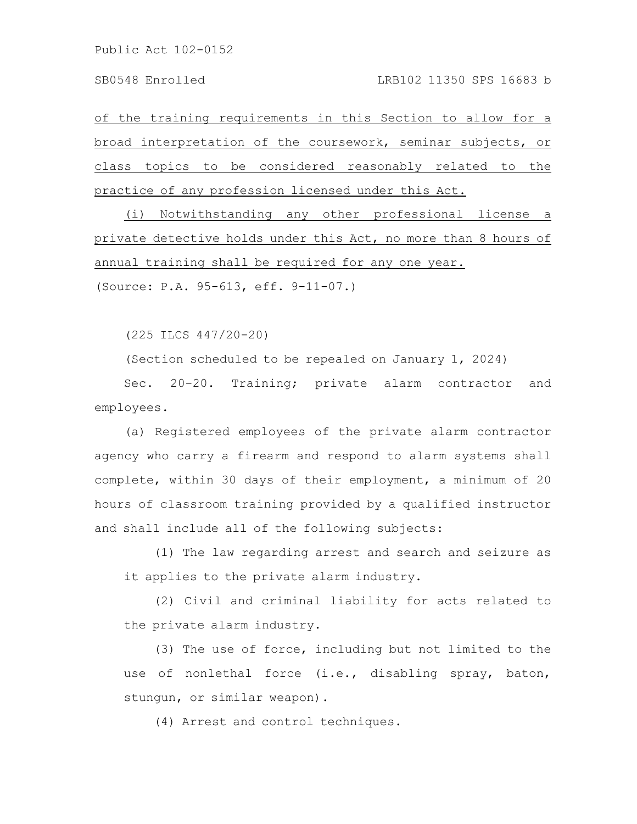of the training requirements in this Section to allow for a broad interpretation of the coursework, seminar subjects, or class topics to be considered reasonably related to the practice of any profession licensed under this Act.

(i) Notwithstanding any other professional license a private detective holds under this Act, no more than 8 hours of annual training shall be required for any one year.

(Source: P.A. 95-613, eff. 9-11-07.)

(225 ILCS 447/20-20)

(Section scheduled to be repealed on January 1, 2024)

Sec. 20-20. Training; private alarm contractor and employees.

(a) Registered employees of the private alarm contractor agency who carry a firearm and respond to alarm systems shall complete, within 30 days of their employment, a minimum of 20 hours of classroom training provided by a qualified instructor and shall include all of the following subjects:

(1) The law regarding arrest and search and seizure as it applies to the private alarm industry.

(2) Civil and criminal liability for acts related to the private alarm industry.

(3) The use of force, including but not limited to the use of nonlethal force (i.e., disabling spray, baton, stungun, or similar weapon).

(4) Arrest and control techniques.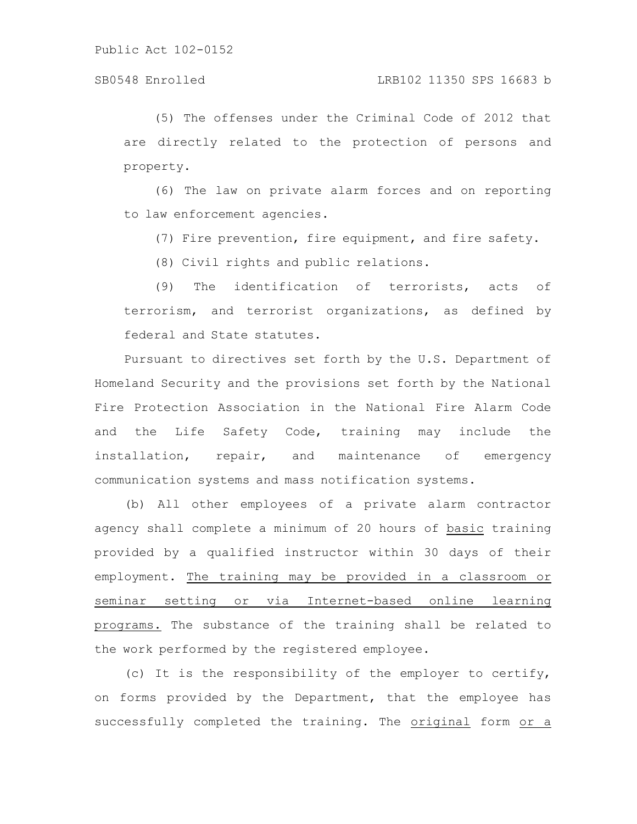(5) The offenses under the Criminal Code of 2012 that are directly related to the protection of persons and property.

(6) The law on private alarm forces and on reporting to law enforcement agencies.

(7) Fire prevention, fire equipment, and fire safety.

(8) Civil rights and public relations.

(9) The identification of terrorists, acts of terrorism, and terrorist organizations, as defined by federal and State statutes.

Pursuant to directives set forth by the U.S. Department of Homeland Security and the provisions set forth by the National Fire Protection Association in the National Fire Alarm Code and the Life Safety Code, training may include the installation, repair, and maintenance of emergency communication systems and mass notification systems.

(b) All other employees of a private alarm contractor agency shall complete a minimum of 20 hours of basic training provided by a qualified instructor within 30 days of their employment. The training may be provided in a classroom or seminar setting or via Internet-based online learning programs. The substance of the training shall be related to the work performed by the registered employee.

(c) It is the responsibility of the employer to certify, on forms provided by the Department, that the employee has successfully completed the training. The original form or a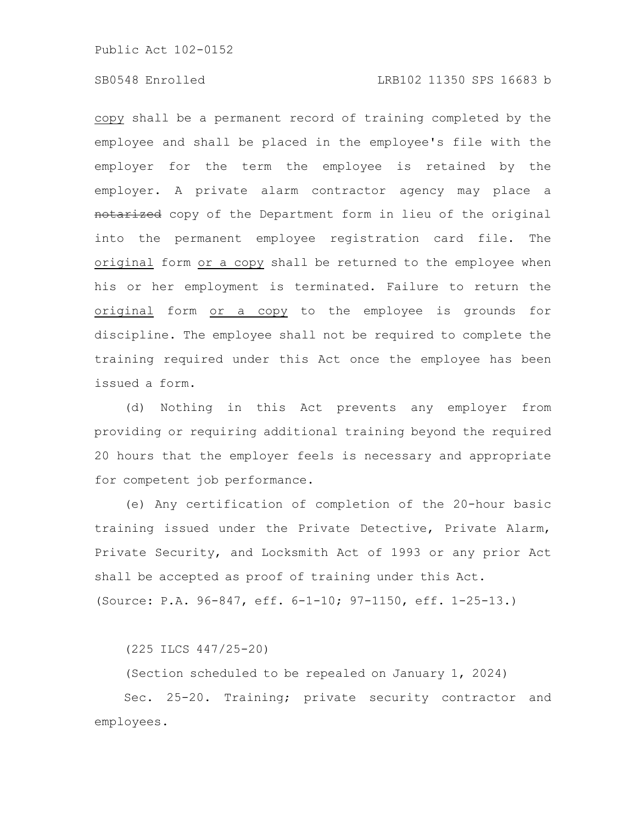# SB0548 Enrolled LRB102 11350 SPS 16683 b

copy shall be a permanent record of training completed by the employee and shall be placed in the employee's file with the employer for the term the employee is retained by the employer. A private alarm contractor agency may place a notarized copy of the Department form in lieu of the original into the permanent employee registration card file. The original form or a copy shall be returned to the employee when his or her employment is terminated. Failure to return the original form or a copy to the employee is grounds for discipline. The employee shall not be required to complete the training required under this Act once the employee has been issued a form.

(d) Nothing in this Act prevents any employer from providing or requiring additional training beyond the required 20 hours that the employer feels is necessary and appropriate for competent job performance.

(e) Any certification of completion of the 20-hour basic training issued under the Private Detective, Private Alarm, Private Security, and Locksmith Act of 1993 or any prior Act shall be accepted as proof of training under this Act. (Source: P.A. 96-847, eff. 6-1-10; 97-1150, eff. 1-25-13.)

(225 ILCS 447/25-20)

(Section scheduled to be repealed on January 1, 2024) Sec. 25-20. Training; private security contractor and employees.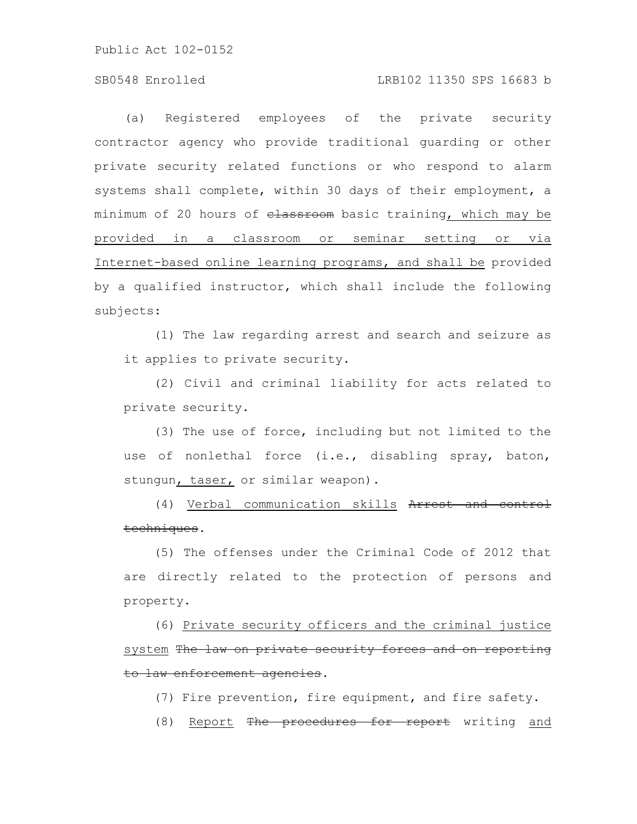# SB0548 Enrolled LRB102 11350 SPS 16683 b

(a) Registered employees of the private security contractor agency who provide traditional guarding or other private security related functions or who respond to alarm systems shall complete, within 30 days of their employment, a minimum of 20 hours of elassroom basic training, which may be provided in a classroom or seminar setting or via Internet-based online learning programs, and shall be provided by a qualified instructor, which shall include the following subjects:

(1) The law regarding arrest and search and seizure as it applies to private security.

(2) Civil and criminal liability for acts related to private security.

(3) The use of force, including but not limited to the use of nonlethal force (i.e., disabling spray, baton, stungun, taser, or similar weapon).

(4) Verbal communication skills Arrest and control techniques.

(5) The offenses under the Criminal Code of 2012 that are directly related to the protection of persons and property.

(6) Private security officers and the criminal justice system The law on private security forces and on reporting to law enforcement agencies.

(7) Fire prevention, fire equipment, and fire safety.

(8) Report The procedures for report writing and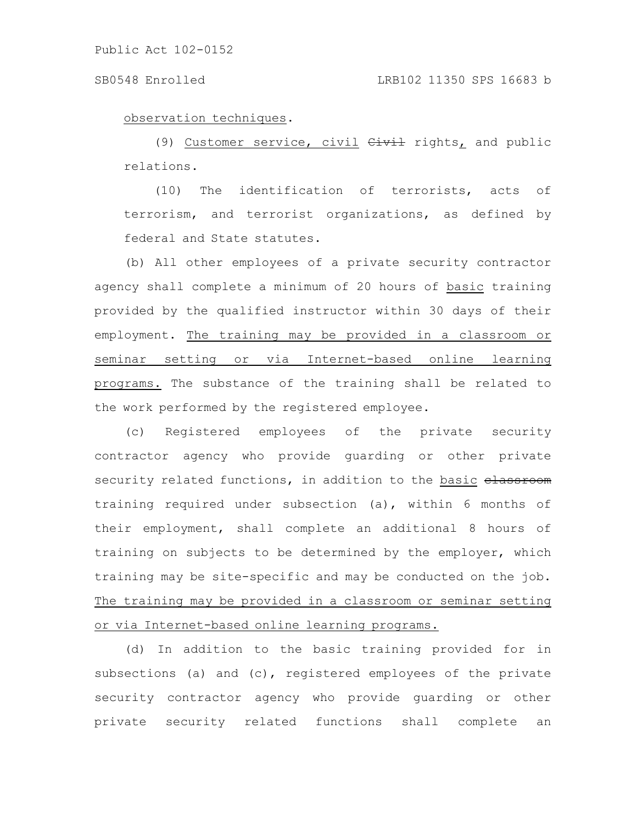observation techniques.

(9) Customer service, civil  $GiviL$  rights, and public relations.

(10) The identification of terrorists, acts of terrorism, and terrorist organizations, as defined by federal and State statutes.

(b) All other employees of a private security contractor agency shall complete a minimum of 20 hours of basic training provided by the qualified instructor within 30 days of their employment. The training may be provided in a classroom or seminar setting or via Internet-based online learning programs. The substance of the training shall be related to the work performed by the registered employee.

(c) Registered employees of the private security contractor agency who provide guarding or other private security related functions, in addition to the basic elassroom training required under subsection (a), within 6 months of their employment, shall complete an additional 8 hours of training on subjects to be determined by the employer, which training may be site-specific and may be conducted on the job. The training may be provided in a classroom or seminar setting or via Internet-based online learning programs.

(d) In addition to the basic training provided for in subsections (a) and (c), registered employees of the private security contractor agency who provide guarding or other private security related functions shall complete an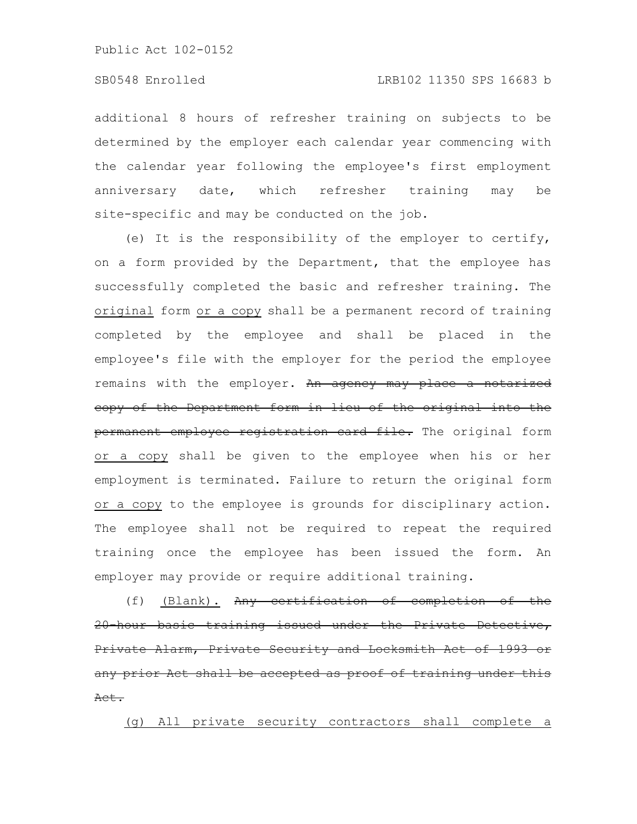additional 8 hours of refresher training on subjects to be determined by the employer each calendar year commencing with the calendar year following the employee's first employment anniversary date, which refresher training may be site-specific and may be conducted on the job.

(e) It is the responsibility of the employer to certify, on a form provided by the Department, that the employee has successfully completed the basic and refresher training. The original form or a copy shall be a permanent record of training completed by the employee and shall be placed in the employee's file with the employer for the period the employee remains with the employer. An agency may place a notarized copy of the Department form in lieu of the original into the permanent employee registration card file. The original form or a copy shall be given to the employee when his or her employment is terminated. Failure to return the original form or a copy to the employee is grounds for disciplinary action. The employee shall not be required to repeat the required training once the employee has been issued the form. An employer may provide or require additional training.

(f) (Blank). Any certification of completion of the 20-hour basic training issued under the Private Detective, Private Alarm, Private Security and Locksmith Act any prior Act shall be accepted as proof of training under this Act.

(g) All private security contractors shall complete a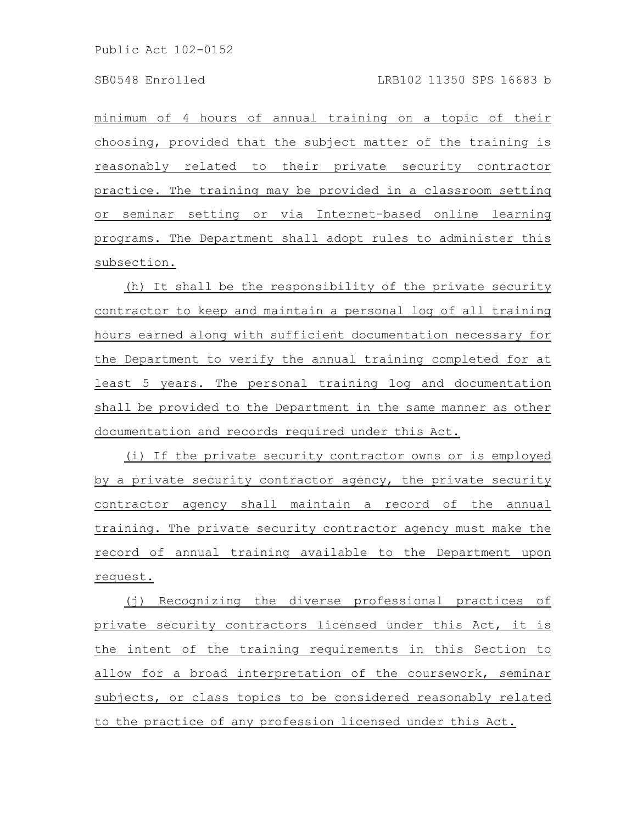minimum of 4 hours of annual training on a topic of their choosing, provided that the subject matter of the training is reasonably related to their private security contractor practice. The training may be provided in a classroom setting or seminar setting or via Internet-based online learning programs. The Department shall adopt rules to administer this subsection.

(h) It shall be the responsibility of the private security contractor to keep and maintain a personal log of all training hours earned along with sufficient documentation necessary for the Department to verify the annual training completed for at least 5 years. The personal training log and documentation shall be provided to the Department in the same manner as other documentation and records required under this Act.

(i) If the private security contractor owns or is employed by a private security contractor agency, the private security contractor agency shall maintain a record of the annual training. The private security contractor agency must make the record of annual training available to the Department upon request.

(j) Recognizing the diverse professional practices of private security contractors licensed under this Act, it is the intent of the training requirements in this Section to allow for a broad interpretation of the coursework, seminar subjects, or class topics to be considered reasonably related to the practice of any profession licensed under this Act.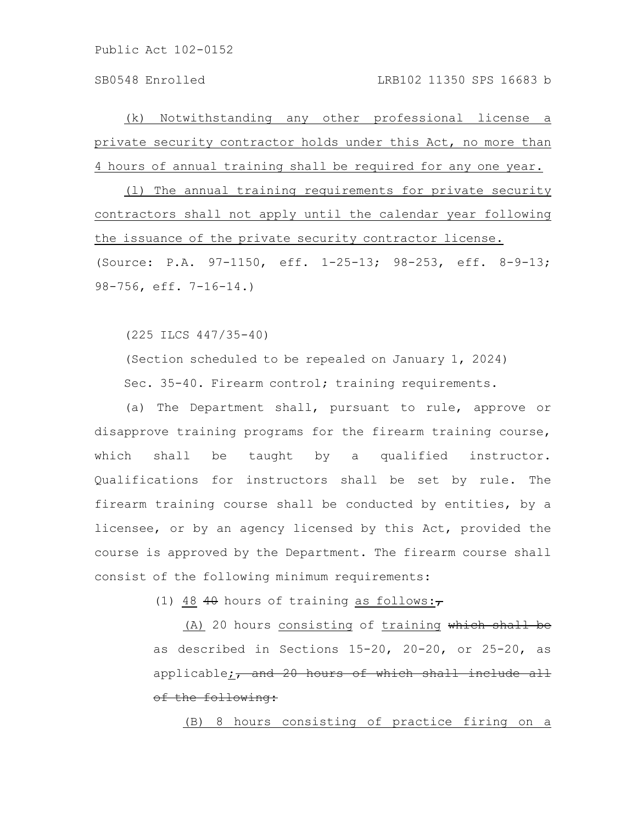(k) Notwithstanding any other professional license a private security contractor holds under this Act, no more than 4 hours of annual training shall be required for any one year.

(l) The annual training requirements for private security contractors shall not apply until the calendar year following the issuance of the private security contractor license. (Source: P.A. 97-1150, eff. 1-25-13; 98-253, eff. 8-9-13; 98-756, eff. 7-16-14.)

(225 ILCS 447/35-40)

(Section scheduled to be repealed on January 1, 2024) Sec. 35-40. Firearm control; training requirements.

(a) The Department shall, pursuant to rule, approve or disapprove training programs for the firearm training course, which shall be taught by a qualified instructor. Qualifications for instructors shall be set by rule. The firearm training course shall be conducted by entities, by a licensee, or by an agency licensed by this Act, provided the course is approved by the Department. The firearm course shall consist of the following minimum requirements:

(1) 48 40 hours of training as follows: $\tau$ 

(A) 20 hours consisting of training which shall be as described in Sections 15-20, 20-20, or 25-20, as applicable;, and 20 hours of which shall include all of the following:

(B) 8 hours consisting of practice firing on a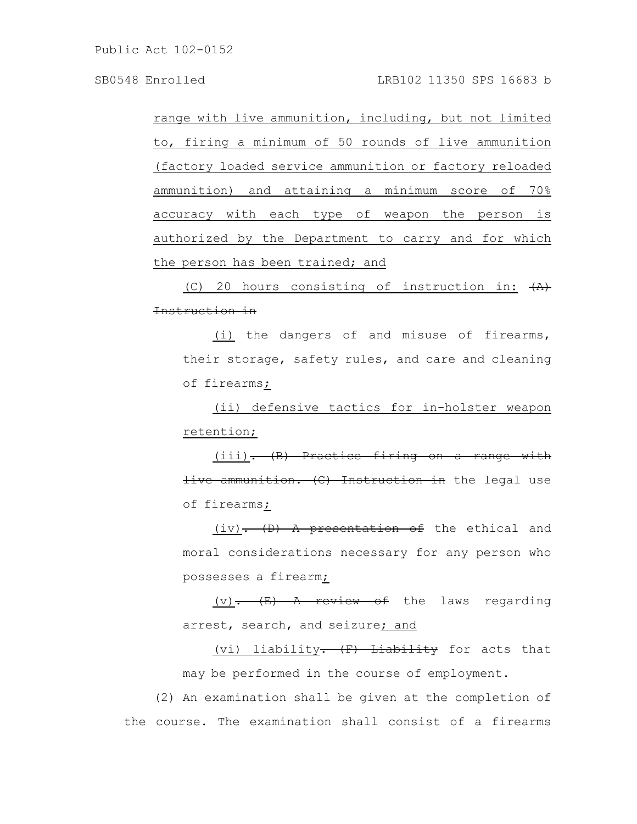range with live ammunition, including, but not limited to, firing a minimum of 50 rounds of live ammunition (factory loaded service ammunition or factory reloaded ammunition) and attaining a minimum score of 70% accuracy with each type of weapon the person is authorized by the Department to carry and for which the person has been trained; and

(C) 20 hours consisting of instruction in:  $\overline{A}$ ) Instruction in

(i) the dangers of and misuse of firearms, their storage, safety rules, and care and cleaning of firearms;

(ii) defensive tactics for in-holster weapon retention;

(iii). (B) Practice firing on a range with live ammunition. (C) Instruction in the legal use of firearms;

 $(iv)$ . (D) A presentation of the ethical and moral considerations necessary for any person who possesses a firearm;

 $(v)$ .  $(E)$  A review of the laws regarding arrest, search, and seizure; and

(vi) liability<del>.  $(F)$  Liability</del> for acts that may be performed in the course of employment.

(2) An examination shall be given at the completion of the course. The examination shall consist of a firearms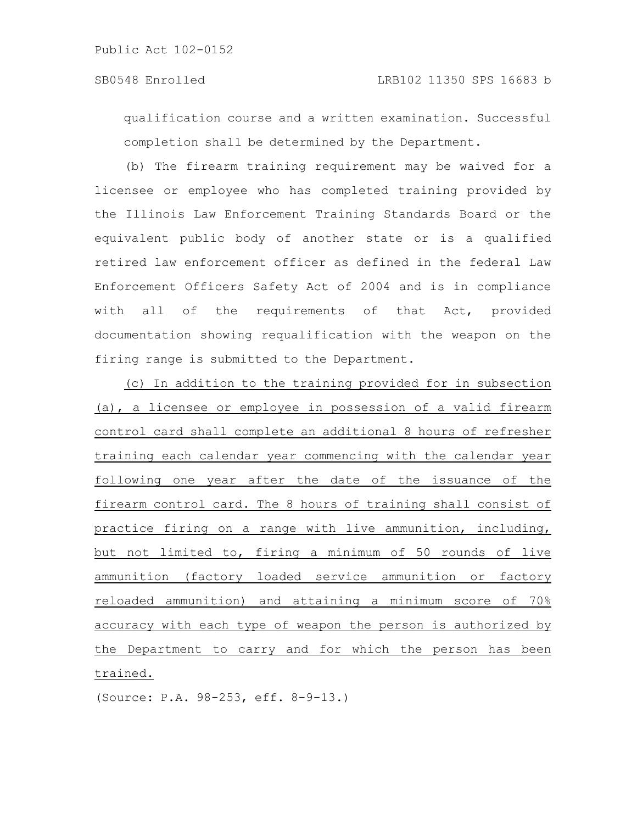qualification course and a written examination. Successful completion shall be determined by the Department.

(b) The firearm training requirement may be waived for a licensee or employee who has completed training provided by the Illinois Law Enforcement Training Standards Board or the equivalent public body of another state or is a qualified retired law enforcement officer as defined in the federal Law Enforcement Officers Safety Act of 2004 and is in compliance with all of the requirements of that Act, provided documentation showing requalification with the weapon on the firing range is submitted to the Department.

(c) In addition to the training provided for in subsection (a), a licensee or employee in possession of a valid firearm control card shall complete an additional 8 hours of refresher training each calendar year commencing with the calendar year following one year after the date of the issuance of the firearm control card. The 8 hours of training shall consist of practice firing on a range with live ammunition, including, but not limited to, firing a minimum of 50 rounds of live ammunition (factory loaded service ammunition or factory reloaded ammunition) and attaining a minimum score of 70% accuracy with each type of weapon the person is authorized by the Department to carry and for which the person has been trained.

(Source: P.A. 98-253, eff. 8-9-13.)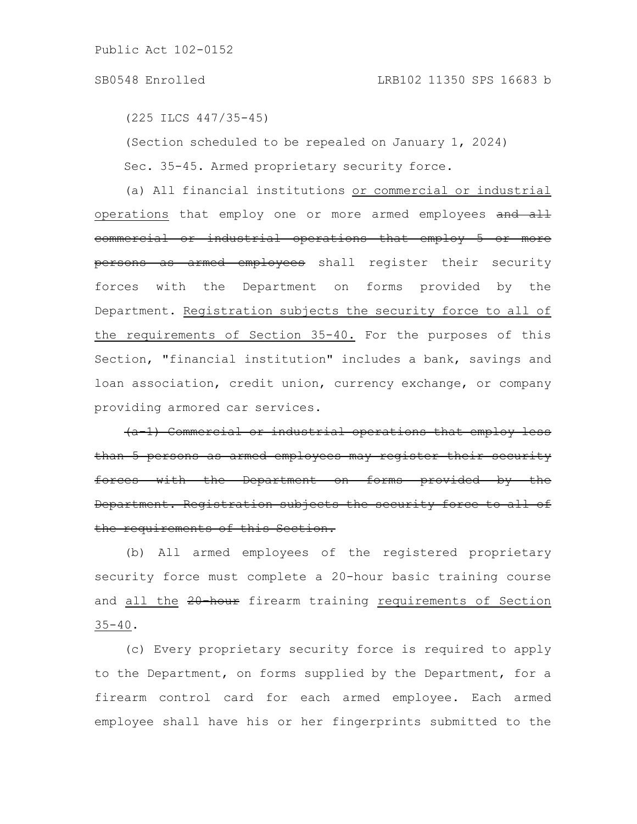### SB0548 Enrolled LRB102 11350 SPS 16683 b

(225 ILCS 447/35-45)

(Section scheduled to be repealed on January 1, 2024)

Sec. 35-45. Armed proprietary security force.

(a) All financial institutions or commercial or industrial operations that employ one or more armed employees and all commercial or industrial operations that employ 5 or more persons as armed employees shall register their security forces with the Department on forms provided by the Department. Registration subjects the security force to all of the requirements of Section 35-40. For the purposes of this Section, "financial institution" includes a bank, savings and loan association, credit union, currency exchange, or company providing armored car services.

(a-1) Commercial or industrial operations that employ less than 5 persons as armed employees may register their security forces with the Department on forms provided Department. Registration subjects the security force to all of the requirements of this Section.

(b) All armed employees of the registered proprietary security force must complete a 20-hour basic training course and all the 20-hour firearm training requirements of Section  $35 - 40$ .

(c) Every proprietary security force is required to apply to the Department, on forms supplied by the Department, for a firearm control card for each armed employee. Each armed employee shall have his or her fingerprints submitted to the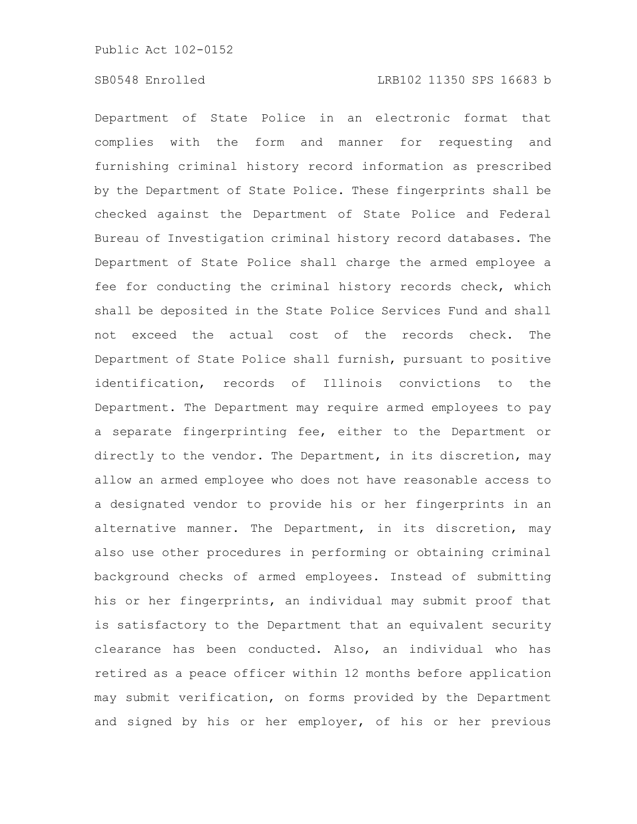# SB0548 Enrolled LRB102 11350 SPS 16683 b

Department of State Police in an electronic format that complies with the form and manner for requesting and furnishing criminal history record information as prescribed by the Department of State Police. These fingerprints shall be checked against the Department of State Police and Federal Bureau of Investigation criminal history record databases. The Department of State Police shall charge the armed employee a fee for conducting the criminal history records check, which shall be deposited in the State Police Services Fund and shall not exceed the actual cost of the records check. The Department of State Police shall furnish, pursuant to positive identification, records of Illinois convictions to the Department. The Department may require armed employees to pay a separate fingerprinting fee, either to the Department or directly to the vendor. The Department, in its discretion, may allow an armed employee who does not have reasonable access to a designated vendor to provide his or her fingerprints in an alternative manner. The Department, in its discretion, may also use other procedures in performing or obtaining criminal background checks of armed employees. Instead of submitting his or her fingerprints, an individual may submit proof that is satisfactory to the Department that an equivalent security clearance has been conducted. Also, an individual who has retired as a peace officer within 12 months before application may submit verification, on forms provided by the Department and signed by his or her employer, of his or her previous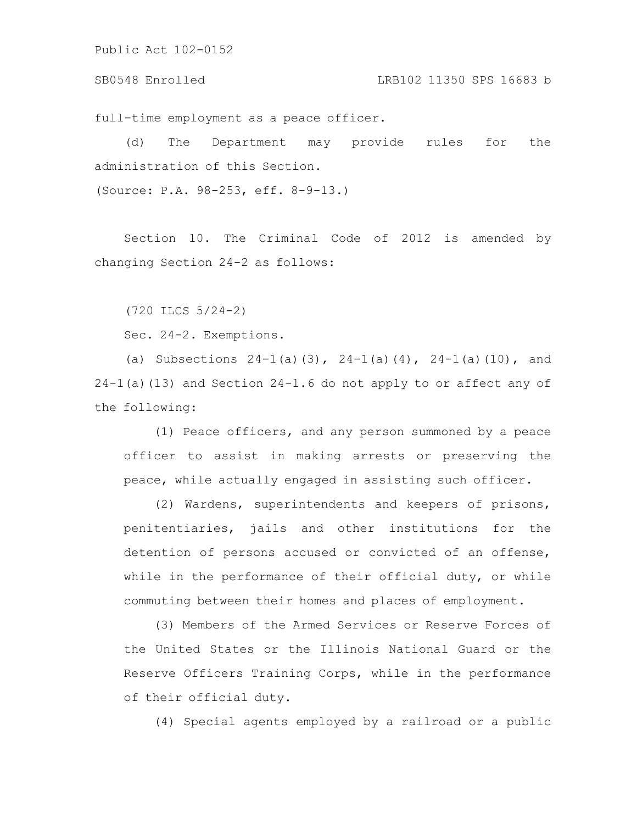SB0548 Enrolled LRB102 11350 SPS 16683 b

full-time employment as a peace officer.

(d) The Department may provide rules for the administration of this Section.

(Source: P.A. 98-253, eff. 8-9-13.)

Section 10. The Criminal Code of 2012 is amended by changing Section 24-2 as follows:

(720 ILCS 5/24-2)

Sec. 24-2. Exemptions.

(a) Subsections  $24-1$  (a)(3),  $24-1$  (a)(4),  $24-1$  (a)(10), and 24-1(a)(13) and Section 24-1.6 do not apply to or affect any of the following:

(1) Peace officers, and any person summoned by a peace officer to assist in making arrests or preserving the peace, while actually engaged in assisting such officer.

(2) Wardens, superintendents and keepers of prisons, penitentiaries, jails and other institutions for the detention of persons accused or convicted of an offense, while in the performance of their official duty, or while commuting between their homes and places of employment.

(3) Members of the Armed Services or Reserve Forces of the United States or the Illinois National Guard or the Reserve Officers Training Corps, while in the performance of their official duty.

(4) Special agents employed by a railroad or a public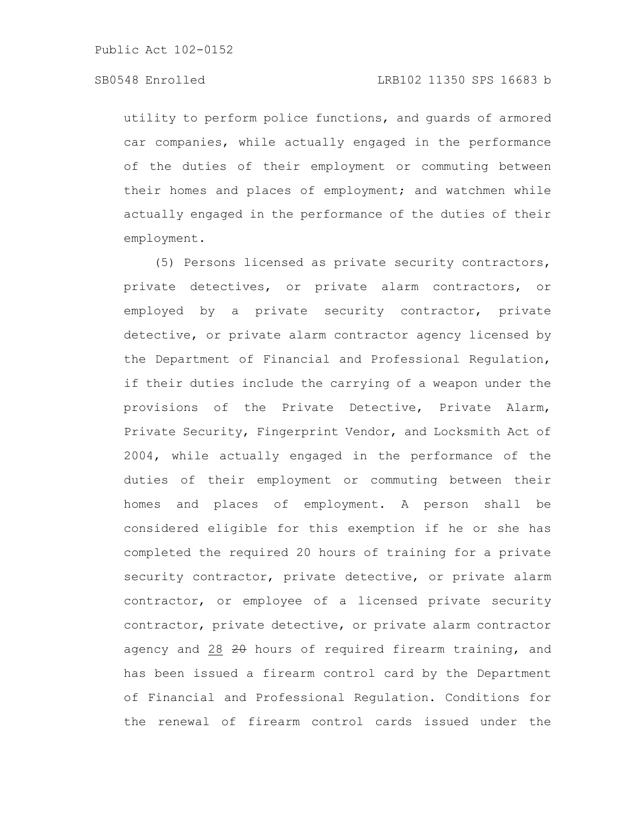# SB0548 Enrolled LRB102 11350 SPS 16683 b

utility to perform police functions, and guards of armored car companies, while actually engaged in the performance of the duties of their employment or commuting between their homes and places of employment; and watchmen while actually engaged in the performance of the duties of their employment.

(5) Persons licensed as private security contractors, private detectives, or private alarm contractors, or employed by a private security contractor, private detective, or private alarm contractor agency licensed by the Department of Financial and Professional Regulation, if their duties include the carrying of a weapon under the provisions of the Private Detective, Private Alarm, Private Security, Fingerprint Vendor, and Locksmith Act of 2004, while actually engaged in the performance of the duties of their employment or commuting between their homes and places of employment. A person shall be considered eligible for this exemption if he or she has completed the required 20 hours of training for a private security contractor, private detective, or private alarm contractor, or employee of a licensed private security contractor, private detective, or private alarm contractor agency and 28 20 hours of required firearm training, and has been issued a firearm control card by the Department of Financial and Professional Regulation. Conditions for the renewal of firearm control cards issued under the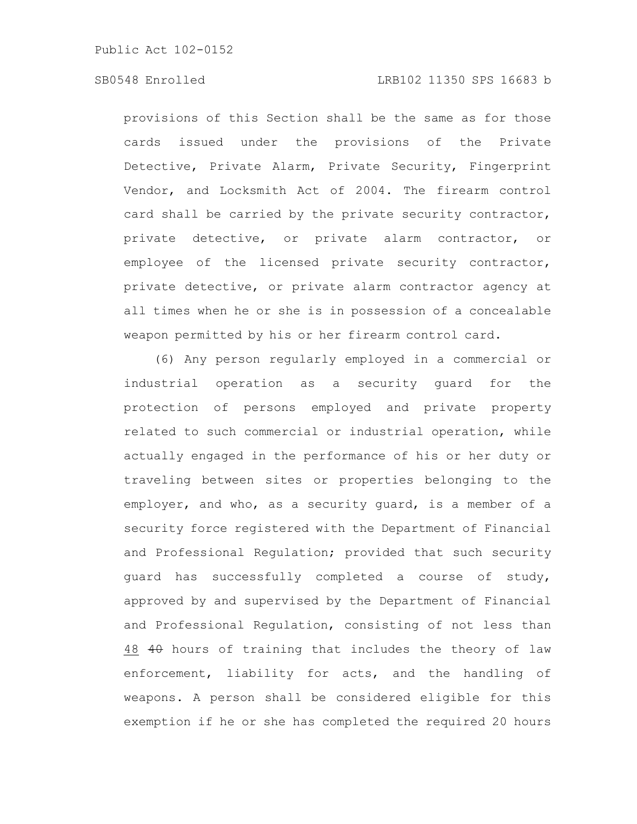# SB0548 Enrolled LRB102 11350 SPS 16683 b

provisions of this Section shall be the same as for those cards issued under the provisions of the Private Detective, Private Alarm, Private Security, Fingerprint Vendor, and Locksmith Act of 2004. The firearm control card shall be carried by the private security contractor, private detective, or private alarm contractor, or employee of the licensed private security contractor, private detective, or private alarm contractor agency at all times when he or she is in possession of a concealable weapon permitted by his or her firearm control card.

(6) Any person regularly employed in a commercial or industrial operation as a security guard for the protection of persons employed and private property related to such commercial or industrial operation, while actually engaged in the performance of his or her duty or traveling between sites or properties belonging to the employer, and who, as a security guard, is a member of a security force registered with the Department of Financial and Professional Regulation; provided that such security guard has successfully completed a course of study, approved by and supervised by the Department of Financial and Professional Regulation, consisting of not less than 48 40 hours of training that includes the theory of law enforcement, liability for acts, and the handling of weapons. A person shall be considered eligible for this exemption if he or she has completed the required 20 hours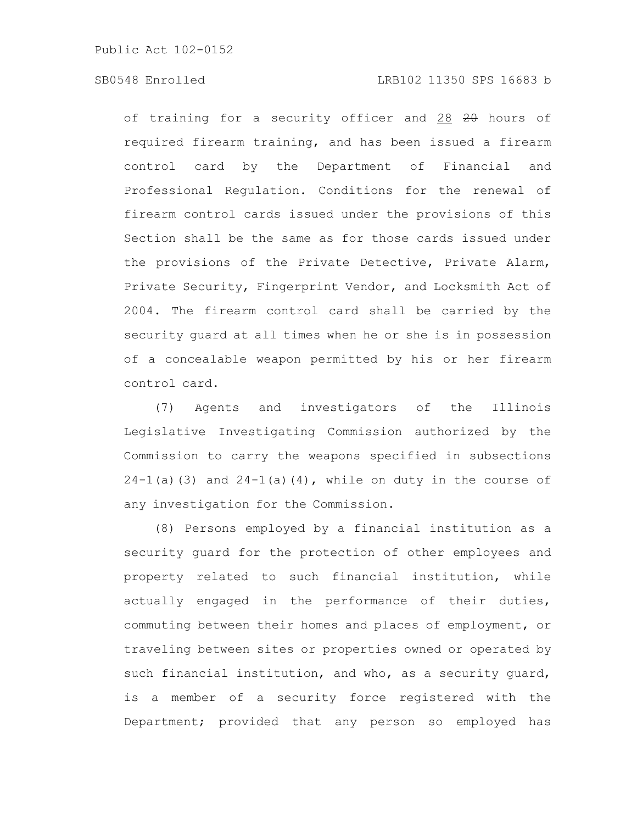of training for a security officer and 28 20 hours of required firearm training, and has been issued a firearm control card by the Department of Financial and Professional Regulation. Conditions for the renewal of firearm control cards issued under the provisions of this Section shall be the same as for those cards issued under the provisions of the Private Detective, Private Alarm, Private Security, Fingerprint Vendor, and Locksmith Act of 2004. The firearm control card shall be carried by the security guard at all times when he or she is in possession of a concealable weapon permitted by his or her firearm control card.

(7) Agents and investigators of the Illinois Legislative Investigating Commission authorized by the Commission to carry the weapons specified in subsections  $24-1$ (a)(3) and  $24-1$ (a)(4), while on duty in the course of any investigation for the Commission.

(8) Persons employed by a financial institution as a security guard for the protection of other employees and property related to such financial institution, while actually engaged in the performance of their duties, commuting between their homes and places of employment, or traveling between sites or properties owned or operated by such financial institution, and who, as a security guard, is a member of a security force registered with the Department; provided that any person so employed has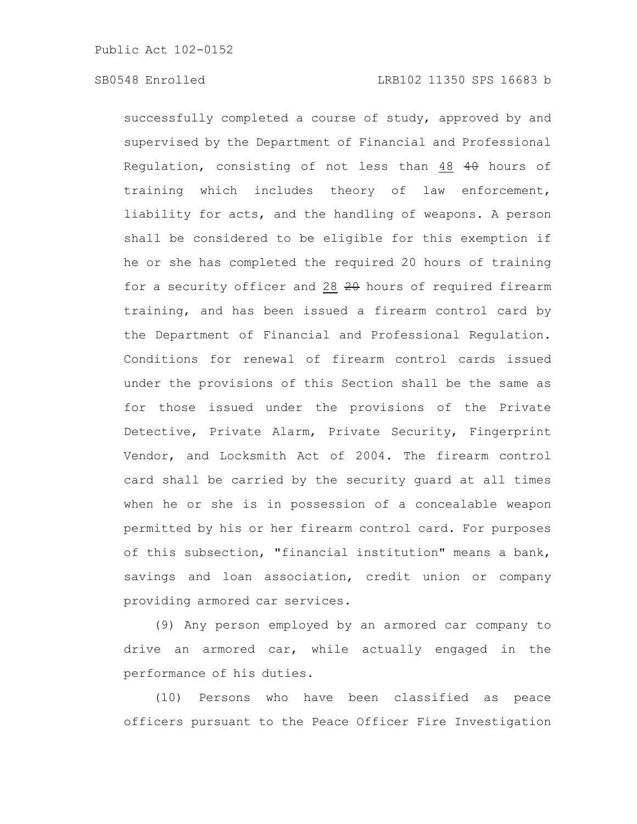successfully completed a course of study, approved by and supervised by the Department of Financial and Professional Regulation, consisting of not less than 48 40 hours of training which includes theory of law enforcement, liability for acts, and the handling of weapons. A person shall be considered to be eligible for this exemption if he or she has completed the required 20 hours of training for a security officer and 28  $20$  hours of required firearm training, and has been issued a firearm control card by the Department of Financial and Professional Regulation. Conditions for renewal of firearm control cards issued under the provisions of this Section shall be the same as for those issued under the provisions of the Private Detective, Private Alarm, Private Security, Fingerprint Vendor, and Locksmith Act of 2004. The firearm control card shall be carried by the security guard at all times when he or she is in possession of a concealable weapon permitted by his or her firearm control card. For purposes of this subsection, "financial institution" means a bank, savings and loan association, credit union or company providing armored car services.

(9) Any person employed by an armored car company to drive an armored car, while actually engaged in the performance of his duties.

(10) Persons who have been classified as peace officers pursuant to the Peace Officer Fire Investigation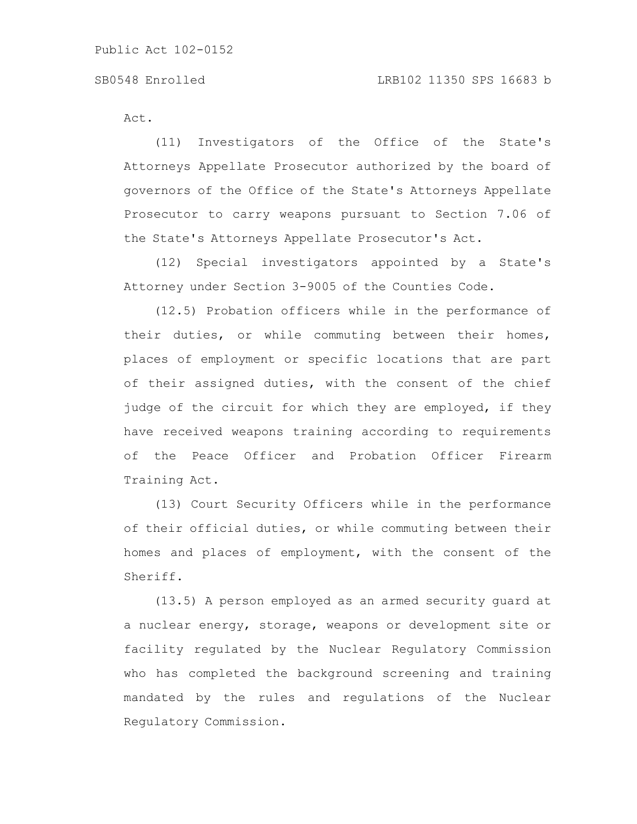Act.

(11) Investigators of the Office of the State's Attorneys Appellate Prosecutor authorized by the board of governors of the Office of the State's Attorneys Appellate Prosecutor to carry weapons pursuant to Section 7.06 of the State's Attorneys Appellate Prosecutor's Act.

(12) Special investigators appointed by a State's Attorney under Section 3-9005 of the Counties Code.

(12.5) Probation officers while in the performance of their duties, or while commuting between their homes, places of employment or specific locations that are part of their assigned duties, with the consent of the chief judge of the circuit for which they are employed, if they have received weapons training according to requirements of the Peace Officer and Probation Officer Firearm Training Act.

(13) Court Security Officers while in the performance of their official duties, or while commuting between their homes and places of employment, with the consent of the Sheriff.

(13.5) A person employed as an armed security guard at a nuclear energy, storage, weapons or development site or facility regulated by the Nuclear Regulatory Commission who has completed the background screening and training mandated by the rules and regulations of the Nuclear Regulatory Commission.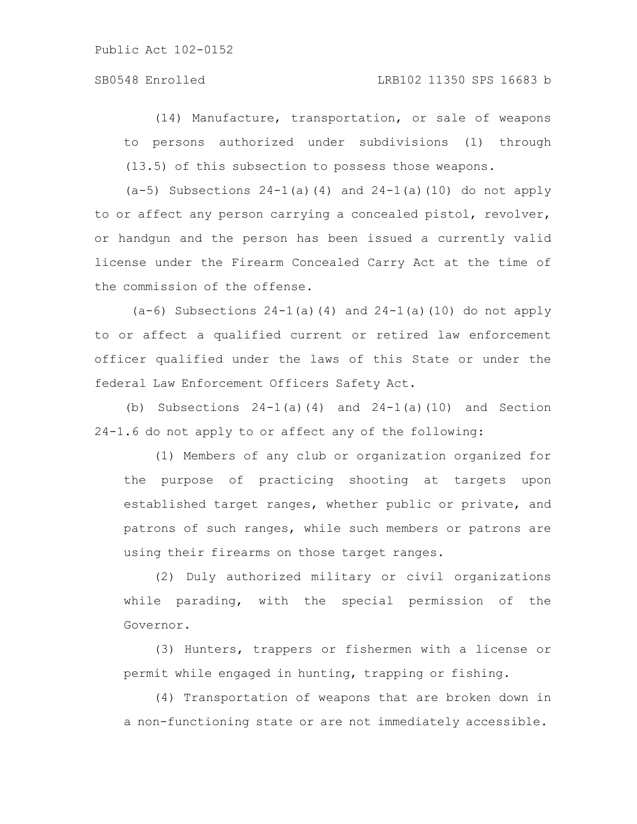# SB0548 Enrolled LRB102 11350 SPS 16683 b

(14) Manufacture, transportation, or sale of weapons to persons authorized under subdivisions (1) through (13.5) of this subsection to possess those weapons.

(a-5) Subsections 24-1(a)(4) and 24-1(a)(10) do not apply to or affect any person carrying a concealed pistol, revolver, or handgun and the person has been issued a currently valid license under the Firearm Concealed Carry Act at the time of the commission of the offense.

 $(a-6)$  Subsections  $24-1(a)(4)$  and  $24-1(a)(10)$  do not apply to or affect a qualified current or retired law enforcement officer qualified under the laws of this State or under the federal Law Enforcement Officers Safety Act.

(b) Subsections  $24-1$ (a)(4) and  $24-1$ (a)(10) and Section 24-1.6 do not apply to or affect any of the following:

(1) Members of any club or organization organized for the purpose of practicing shooting at targets upon established target ranges, whether public or private, and patrons of such ranges, while such members or patrons are using their firearms on those target ranges.

(2) Duly authorized military or civil organizations while parading, with the special permission of the Governor.

(3) Hunters, trappers or fishermen with a license or permit while engaged in hunting, trapping or fishing.

(4) Transportation of weapons that are broken down in a non-functioning state or are not immediately accessible.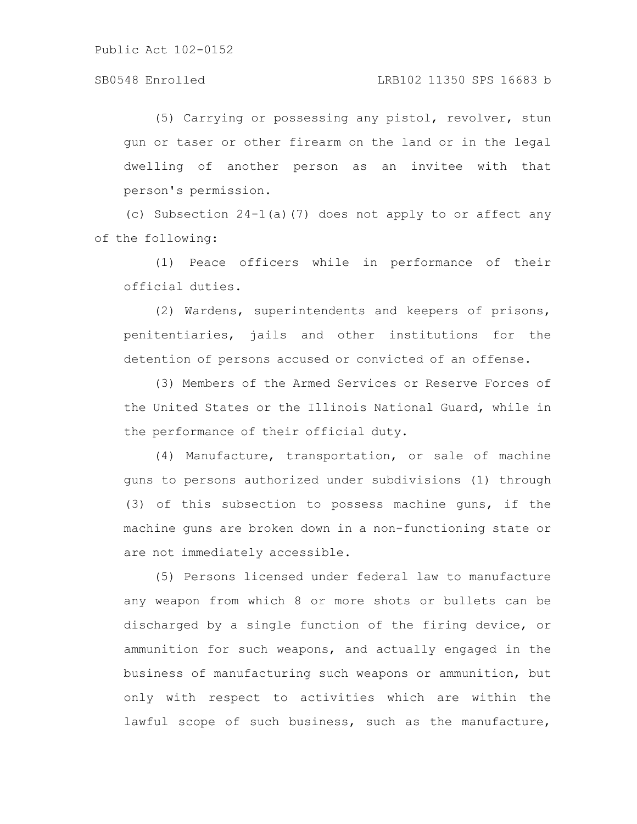# SB0548 Enrolled LRB102 11350 SPS 16683 b

(5) Carrying or possessing any pistol, revolver, stun gun or taser or other firearm on the land or in the legal dwelling of another person as an invitee with that person's permission.

(c) Subsection 24-1(a)(7) does not apply to or affect any of the following:

(1) Peace officers while in performance of their official duties.

(2) Wardens, superintendents and keepers of prisons, penitentiaries, jails and other institutions for the detention of persons accused or convicted of an offense.

(3) Members of the Armed Services or Reserve Forces of the United States or the Illinois National Guard, while in the performance of their official duty.

(4) Manufacture, transportation, or sale of machine guns to persons authorized under subdivisions (1) through (3) of this subsection to possess machine guns, if the machine guns are broken down in a non-functioning state or are not immediately accessible.

(5) Persons licensed under federal law to manufacture any weapon from which 8 or more shots or bullets can be discharged by a single function of the firing device, or ammunition for such weapons, and actually engaged in the business of manufacturing such weapons or ammunition, but only with respect to activities which are within the lawful scope of such business, such as the manufacture,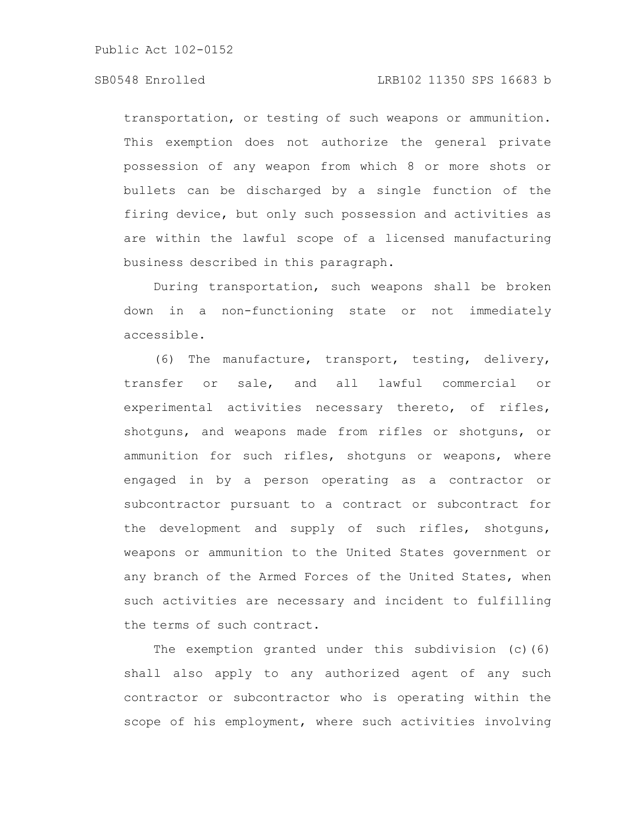# SB0548 Enrolled LRB102 11350 SPS 16683 b

transportation, or testing of such weapons or ammunition. This exemption does not authorize the general private possession of any weapon from which 8 or more shots or bullets can be discharged by a single function of the firing device, but only such possession and activities as are within the lawful scope of a licensed manufacturing business described in this paragraph.

During transportation, such weapons shall be broken down in a non-functioning state or not immediately accessible.

(6) The manufacture, transport, testing, delivery, transfer or sale, and all lawful commercial or experimental activities necessary thereto, of rifles, shotguns, and weapons made from rifles or shotguns, or ammunition for such rifles, shotguns or weapons, where engaged in by a person operating as a contractor or subcontractor pursuant to a contract or subcontract for the development and supply of such rifles, shotguns, weapons or ammunition to the United States government or any branch of the Armed Forces of the United States, when such activities are necessary and incident to fulfilling the terms of such contract.

The exemption granted under this subdivision (c)(6) shall also apply to any authorized agent of any such contractor or subcontractor who is operating within the scope of his employment, where such activities involving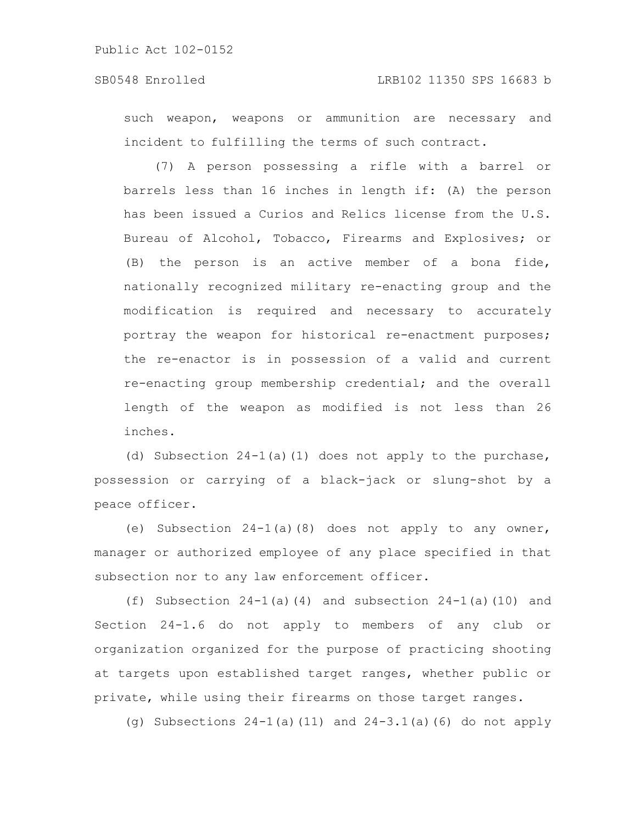such weapon, weapons or ammunition are necessary and incident to fulfilling the terms of such contract.

(7) A person possessing a rifle with a barrel or barrels less than 16 inches in length if: (A) the person has been issued a Curios and Relics license from the U.S. Bureau of Alcohol, Tobacco, Firearms and Explosives; or (B) the person is an active member of a bona fide, nationally recognized military re-enacting group and the modification is required and necessary to accurately portray the weapon for historical re-enactment purposes; the re-enactor is in possession of a valid and current re-enacting group membership credential; and the overall length of the weapon as modified is not less than 26 inches.

(d) Subsection 24-1(a)(1) does not apply to the purchase, possession or carrying of a black-jack or slung-shot by a peace officer.

(e) Subsection 24-1(a)(8) does not apply to any owner, manager or authorized employee of any place specified in that subsection nor to any law enforcement officer.

(f) Subsection  $24-1(a)(4)$  and subsection  $24-1(a)(10)$  and Section 24-1.6 do not apply to members of any club or organization organized for the purpose of practicing shooting at targets upon established target ranges, whether public or private, while using their firearms on those target ranges.

(g) Subsections 24-1(a)(11) and 24-3.1(a)(6) do not apply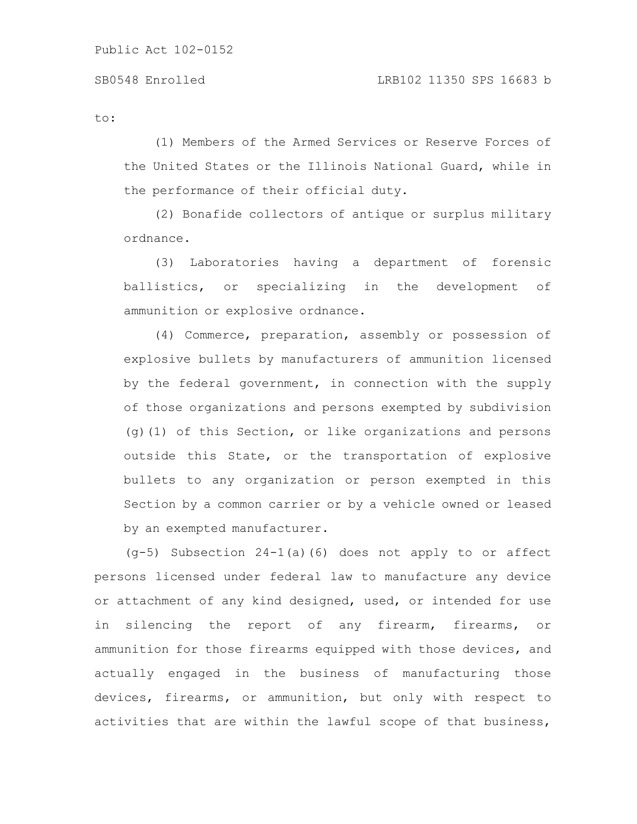to:

(1) Members of the Armed Services or Reserve Forces of the United States or the Illinois National Guard, while in the performance of their official duty.

(2) Bonafide collectors of antique or surplus military ordnance.

(3) Laboratories having a department of forensic ballistics, or specializing in the development of ammunition or explosive ordnance.

(4) Commerce, preparation, assembly or possession of explosive bullets by manufacturers of ammunition licensed by the federal government, in connection with the supply of those organizations and persons exempted by subdivision (g)(1) of this Section, or like organizations and persons outside this State, or the transportation of explosive bullets to any organization or person exempted in this Section by a common carrier or by a vehicle owned or leased by an exempted manufacturer.

 $(q-5)$  Subsection 24-1(a)(6) does not apply to or affect persons licensed under federal law to manufacture any device or attachment of any kind designed, used, or intended for use in silencing the report of any firearm, firearms, or ammunition for those firearms equipped with those devices, and actually engaged in the business of manufacturing those devices, firearms, or ammunition, but only with respect to activities that are within the lawful scope of that business,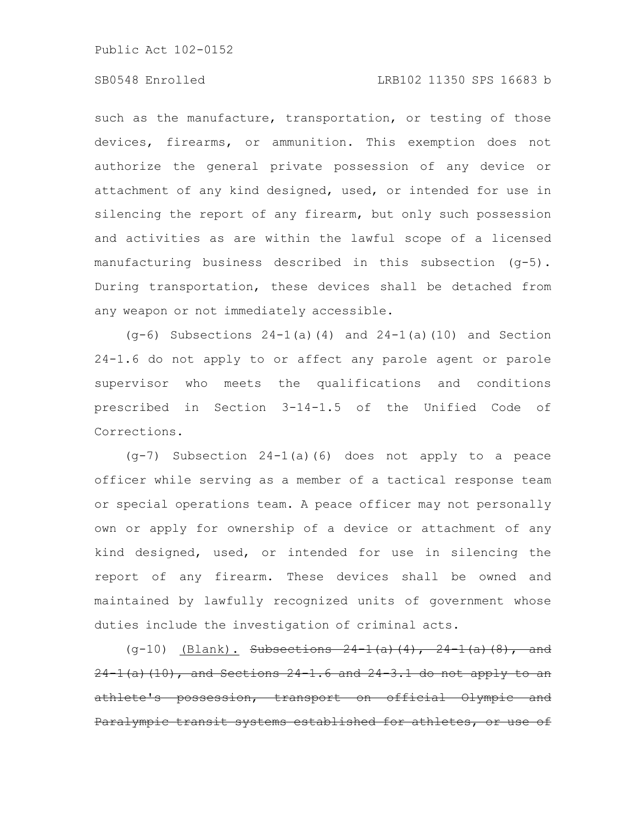# SB0548 Enrolled LRB102 11350 SPS 16683 b

such as the manufacture, transportation, or testing of those devices, firearms, or ammunition. This exemption does not authorize the general private possession of any device or attachment of any kind designed, used, or intended for use in silencing the report of any firearm, but only such possession and activities as are within the lawful scope of a licensed manufacturing business described in this subsection (g-5). During transportation, these devices shall be detached from any weapon or not immediately accessible.

 $(q-6)$  Subsections  $24-1(a)(4)$  and  $24-1(a)(10)$  and Section 24-1.6 do not apply to or affect any parole agent or parole supervisor who meets the qualifications and conditions prescribed in Section 3-14-1.5 of the Unified Code of Corrections.

(g-7) Subsection 24-1(a)(6) does not apply to a peace officer while serving as a member of a tactical response team or special operations team. A peace officer may not personally own or apply for ownership of a device or attachment of any kind designed, used, or intended for use in silencing the report of any firearm. These devices shall be owned and maintained by lawfully recognized units of government whose duties include the investigation of criminal acts.

(g-10)  $(Blank)$ . Subsections 24-1(a)(4), 24-1(a)(8), and  $24-1$  (a) (10), and Sections  $24-1.6$  and  $24-3.1$  do not apply to an athlete's possession, transport on official Olympic and Paralympic transit systems established for athletes, or use of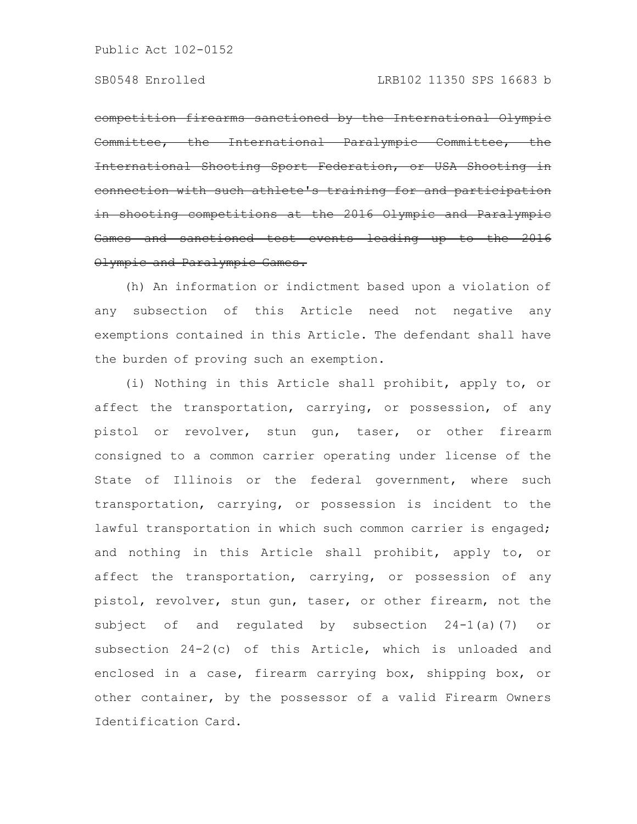competition firearms sanctioned by the International Olympic Committee, the International Paralympic Committee, the International Shooting Sport Federation, or USA Shooting in connection with such athlete's training for and participat in shooting competitions at the 2016 Olympic and Paralympic Games and sanctioned test events leading up to the 2016 Olympic and Paralympic Games.

(h) An information or indictment based upon a violation of any subsection of this Article need not negative any exemptions contained in this Article. The defendant shall have the burden of proving such an exemption.

(i) Nothing in this Article shall prohibit, apply to, or affect the transportation, carrying, or possession, of any pistol or revolver, stun gun, taser, or other firearm consigned to a common carrier operating under license of the State of Illinois or the federal government, where such transportation, carrying, or possession is incident to the lawful transportation in which such common carrier is engaged; and nothing in this Article shall prohibit, apply to, or affect the transportation, carrying, or possession of any pistol, revolver, stun gun, taser, or other firearm, not the subject of and regulated by subsection 24-1(a)(7) or subsection 24-2(c) of this Article, which is unloaded and enclosed in a case, firearm carrying box, shipping box, or other container, by the possessor of a valid Firearm Owners Identification Card.